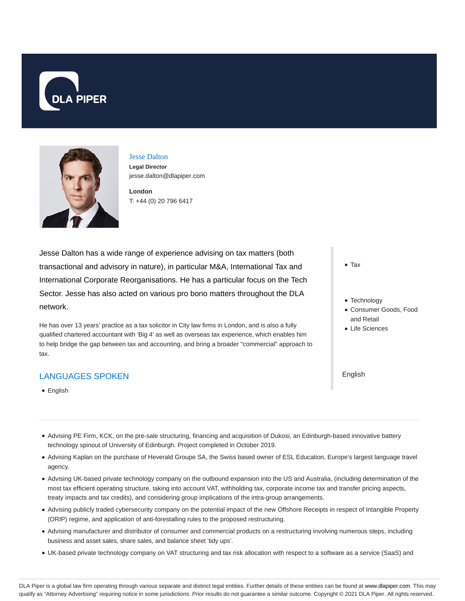



Jesse Dalton **Legal Director** jesse.dalton@dlapiper.com

**London** T: +44 (0) 20 796 6417

Jesse Dalton has a wide range of experience advising on tax matters (both transactional and advisory in nature), in particular M&A, International Tax and International Corporate Reorganisations. He has a particular focus on the Tech Sector. Jesse has also acted on various pro bono matters throughout the DLA network.

He has over 13 years' practice as a tax solicitor in City law firms in London, and is also a fully qualified chartered accountant with 'Big 4' as well as overseas tax experience, which enables him to help bridge the gap between tax and accounting, and bring a broader "commercial" approach to tax.

## LANGUAGES SPOKEN

**•** English

- Tax
- Technology
- Consumer Goods, Food and Retail
- Life Sciences

English

- Advising PE Firm, KCK, on the pre-sale structuring, financing and acquisition of Dukosi, an Edinburgh-based innovative battery technology spinout of University of Edinburgh. Project completed in October 2019.
- Advising Kaplan on the purchase of Heverald Groupe SA, the Swiss based owner of ESL Education, Europe's largest language travel agency.
- Advising UK-based private technology company on the outbound expansion into the US and Australia, (including determination of the most tax efficient operating structure, taking into account VAT, withholding tax, corporate income tax and transfer pricing aspects, treaty impacts and tax credits), and considering group implications of the intra-group arrangements.
- Advising publicly traded cybersecurity company on the potential impact of the new Offshore Receipts in respect of Intangible Property (ORIP) regime, and application of anti-forestalling rules to the proposed restructuring.
- Advising manufacturer and distributor of consumer and commercial products on a restructuring involving numerous steps, including business and asset sales, share sales, and balance sheet 'tidy ups'.
- UK-based private technology company on VAT structuring and tax risk allocation with respect to a software as a service (SaaS) and